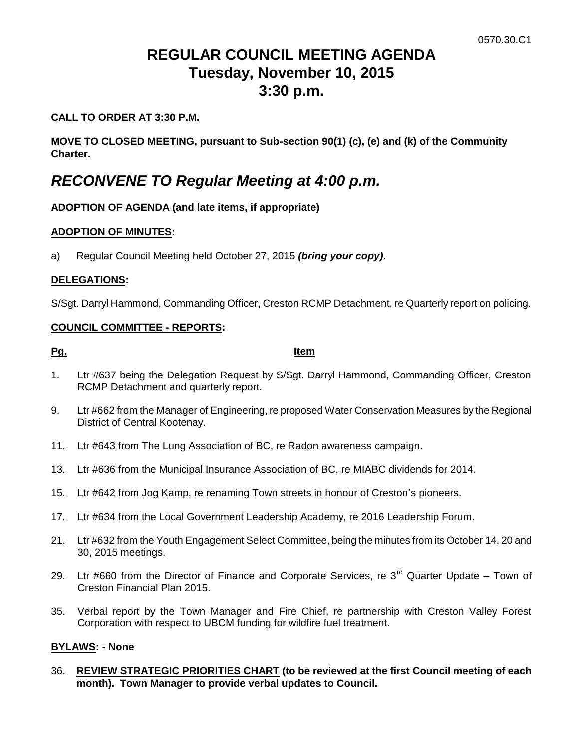# **REGULAR COUNCIL MEETING AGENDA Tuesday, November 10, 2015 3:30 p.m.**

#### **CALL TO ORDER AT 3:30 P.M.**

**MOVE TO CLOSED MEETING, pursuant to Sub-section 90(1) (c), (e) and (k) of the Community Charter.**

# *RECONVENE TO Regular Meeting at 4:00 p.m.*

## **ADOPTION OF AGENDA (and late items, if appropriate)**

#### **ADOPTION OF MINUTES:**

a) Regular Council Meeting held October 27, 2015 *(bring your copy)*.

#### **DELEGATIONS:**

S/Sgt. Darryl Hammond, Commanding Officer, Creston RCMP Detachment, re Quarterly report on policing.

#### **COUNCIL COMMITTEE - REPORTS:**

**Pg. Item**

- 1. Ltr #637 being the Delegation Request by S/Sgt. Darryl Hammond, Commanding Officer, Creston RCMP Detachment and quarterly report.
- 9. Ltr #662 from the Manager of Engineering, re proposed Water Conservation Measures by the Regional District of Central Kootenay.
- 11. Ltr #643 from The Lung Association of BC, re Radon awareness campaign.
- 13. Ltr #636 from the Municipal Insurance Association of BC, re MIABC dividends for 2014.
- 15. Ltr #642 from Jog Kamp, re renaming Town streets in honour of Creston's pioneers.
- 17. Ltr #634 from the Local Government Leadership Academy, re 2016 Leadership Forum.
- 21. Ltr #632 from the Youth Engagement Select Committee, being the minutes from its October 14, 20 and 30, 2015 meetings.
- 29. Ltr #660 from the Director of Finance and Corporate Services, re  $3<sup>rd</sup>$  Quarter Update Town of Creston Financial Plan 2015.
- 35. Verbal report by the Town Manager and Fire Chief, re partnership with Creston Valley Forest Corporation with respect to UBCM funding for wildfire fuel treatment.

## **BYLAWS: - None**

36. **REVIEW STRATEGIC PRIORITIES CHART (to be reviewed at the first Council meeting of each month). Town Manager to provide verbal updates to Council.**